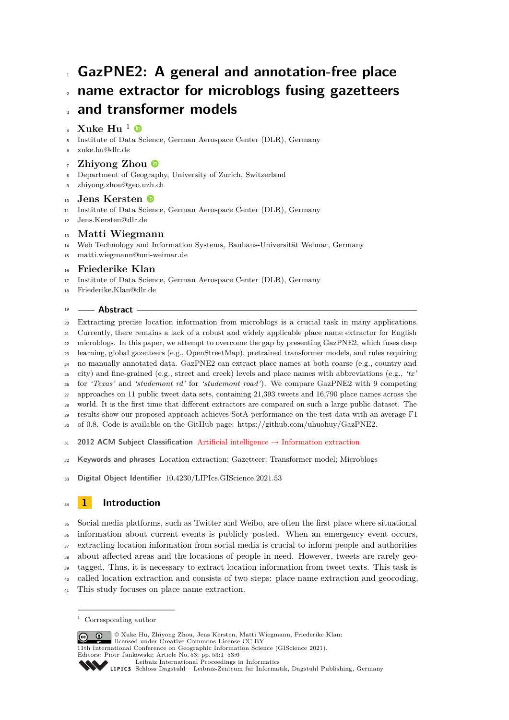# **GazPNE2: A general and annotation-free place name extractor for microblogs fusing gazetteers**

## **and transformer models**

#### **Xuke Hu**  $^1$   $\bullet$

- Institute of Data Science, German Aerospace Center (DLR), Germany
- [xuke.hu@dlr.de](mailto:xuke.hu@dlr.de)

### **Zhiyong Zhou**

- Department of Geography, University of Zurich, Switzerland
- [zhiyong.zhou@geo.uzh.ch](mailto:zhiyong.zhou@geo.uzh.ch)

### **Jens Kersten**

- Institute of Data Science, German Aerospace Center (DLR), Germany
- [Jens.Kersten@dlr.de](mailto:Jens.Kersten@dlr.de)

### **Matti Wiegmann**

- Web Technology and Information Systems, Bauhaus-Universität Weimar, Germany
- [matti.wiegmann@uni-weimar.de](mailto:matti.wiegmann@uni-weimar.de)

### **Friederike Klan**

- Institute of Data Science, German Aerospace Center (DLR), Germany
- [Friederike.Klan@dlr.de](mailto:Friederike.Klan@dlr.de)

### **Abstract**

 Extracting precise location information from microblogs is a crucial task in many applications. Currently, there remains a lack of a robust and widely applicable place name extractor for English microblogs. In this paper, we attempt to overcome the gap by presenting GazPNE2, which fuses deep learning, global gazetteers (e.g., OpenStreetMap), pretrained transformer models, and rules requiring no manually annotated data. GazPNE2 can extract place names at both coarse (e.g., country and city) and fine-grained (e.g., street and creek) levels and place names with abbreviations (e.g., *'tx'* for *'Texas'* and *'studemont rd'* for *'studemont road'*). We compare GazPNE2 with 9 competing approaches on 11 public tweet data sets, containing 21,393 tweets and 16,790 place names across the world. It is the first time that different extractors are compared on such a large public dataset. The results show our proposed approach achieves SotA performance on the test data with an average F1

of 0.8. Code is available on the GitHub page: https://github.com/uhuohuy/GazPNE2.

**2012 ACM Subject Classification** Artificial intelligence → Information extraction

**Keywords and phrases** Location extraction; Gazetteer; Transformer model; Microblogs

**Digital Object Identifier** [10.4230/LIPIcs.GIScience.2021.53](https://doi.org/10.4230/LIPIcs.GIScience.2021.53)

## **1 Introduction**

Social media platforms, such as Twitter and Weibo, are often the first place where situational

information about current events is publicly posted. When an emergency event occurs,

extracting location information from social media is crucial to inform people and authorities

about affected areas and the locations of people in need. However, tweets are rarely geo-

tagged. Thus, it is necessary to extract location information from tweet texts. This task is

called location extraction and consists of two steps: place name extraction and geocoding.

This study focuses on place name extraction.

© Xuke Hu, Zhiyong Zhou, Jens Kersten, Matti Wiegmann, Friederike Klan; <u>ര്ര 0 </u> licensed under Creative Commons License CC-BY 11th International Conference on Geographic Information Science (GIScience 2021). Editors: Piotr Jankowski; Article No. 53; pp. 53:1–53[:6](#page-5-0) [Leibniz International Proceedings in Informatics](https://www.dagstuhl.de/lipics/) [Schloss Dagstuhl – Leibniz-Zentrum für Informatik, Dagstuhl Publishing, Germany](https://www.dagstuhl.de)

Corresponding author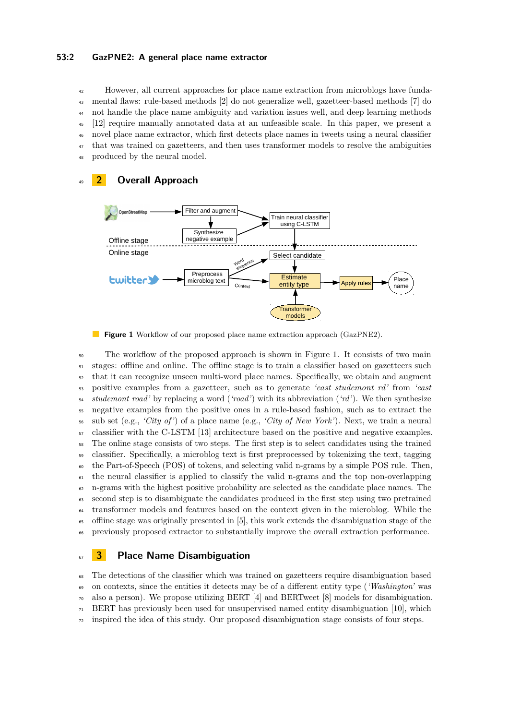#### **53:2 GazPNE2: A general place name extractor**

 However, all current approaches for place name extraction from microblogs have funda- mental flaws: rule-based methods [\[2\]](#page-5-1) do not generalize well, gazetteer-based methods [\[7\]](#page-5-2) do not handle the place name ambiguity and variation issues well, and deep learning methods [\[12\]](#page-5-3) require manually annotated data at an unfeasible scale. In this paper, we present a novel place name extractor, which first detects place names in tweets using a neural classifier <sup>47</sup> that was trained on gazetteers, and then uses transformer models to resolve the ambiguities produced by the neural model.

<span id="page-1-0"></span>

### <sup>49</sup> **2 Overall Approach**



 The workflow of the proposed approach is shown in Figure [1.](#page-1-0) It consists of two main stages: offline and online. The offline stage is to train a classifier based on gazetteers such that it can recognize unseen multi-word place names. Specifically, we obtain and augment positive examples from a gazetteer, such as to generate *'east studemont rd'* from *'east studemont road'* by replacing a word (*'road'*) with its abbreviation (*'rd'*). We then synthesize negative examples from the positive ones in a rule-based fashion, such as to extract the sub set (e.g., *'City of'*) of a place name (e.g., *'City of New York'*). Next, we train a neural classifier with the C-LSTM [\[13\]](#page-5-4) architecture based on the positive and negative examples. The online stage consists of two steps. The first step is to select candidates using the trained classifier. Specifically, a microblog text is first preprocessed by tokenizing the text, tagging the Part-of-Speech (POS) of tokens, and selecting valid n-grams by a simple POS rule. Then, the neural classifier is applied to classify the valid n-grams and the top non-overlapping n-grams with the highest positive probability are selected as the candidate place names. The second step is to disambiguate the candidates produced in the first step using two pretrained transformer models and features based on the context given in the microblog. While the offline stage was originally presented in [\[5\]](#page-5-5), this work extends the disambiguation stage of the previously proposed extractor to substantially improve the overall extraction performance.

### <sup>67</sup> **3 Place Name Disambiguation**

 The detections of the classifier which was trained on gazetteers require disambiguation based on contexts, since the entities it detects may be of a different entity type (*'Washington'* was also a person). We propose utilizing BERT [\[4\]](#page-5-6) and BERTweet [\[8\]](#page-5-7) models for disambiguation. BERT has previously been used for unsupervised named entity disambiguation [\[10\]](#page-5-8), which inspired the idea of this study. Our proposed disambiguation stage consists of four steps.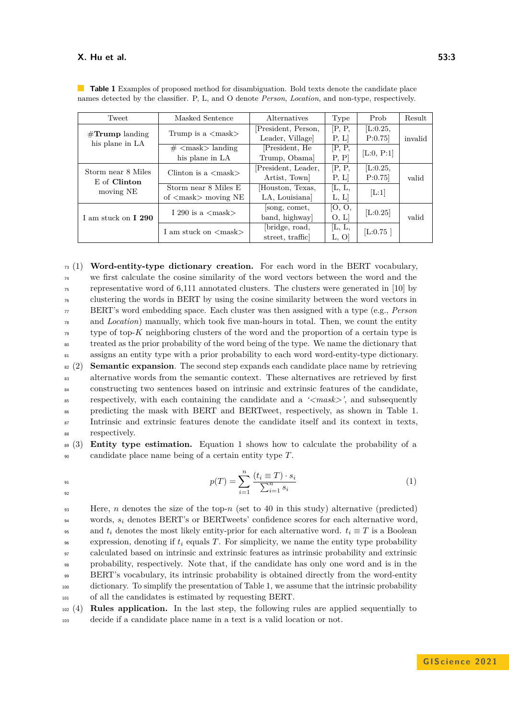#### **X. Hu et al. 53:3**

| Tweet                                         | Masked Sentence                             | <i>Alternatives</i> | Type   | Prob           | Result  |
|-----------------------------------------------|---------------------------------------------|---------------------|--------|----------------|---------|
|                                               | Trump is a $\langle \text{mask} \rangle$    | President, Person,  | [P, P, | [L:0.25,       |         |
| $\#\mathrm{Trump}$ landing<br>his plane in LA |                                             | Leader, Village     | P, L   | P:0.75         | invalid |
|                                               | $\#$ <mask> landing</mask>                  | [President, He      | [P, P, | [ $L:0, P:1$ ] |         |
|                                               | his plane in LA                             | Trump, Obama]       | P, P   |                |         |
| Storm near 8 Miles                            | Clinton is a $\langle \text{mask} \rangle$  | [President, Leader, | [P, P, | [L:0.25]       |         |
| E of Clinton                                  |                                             | Artist, Town        | P, L   | P:0.75         | valid   |
| moving NE                                     | Storm near 8 Miles E                        | Houston, Texas,     | [L, L, |                |         |
|                                               | of $\langle \text{mask} \rangle$ moving NE  | LA, Louisiana       | L, L   | [L:1]          |         |
|                                               | I 290 is a $\langle \text{mask} \rangle$    | song, comet,        | [O, O, | [L:0.25]       |         |
| I am stuck on <b>I</b> 290                    |                                             | band, highway       | [0, L] |                | valid   |
|                                               | I am stuck on $\langle \text{mask} \rangle$ | [bridge, road,      | [L, L, | [L:0.75]       |         |
|                                               |                                             | street, traffic     | L, O   |                |         |

<span id="page-2-0"></span>**Table 1** Examples of proposed method for disambiguation. Bold texts denote the candidate place names detected by the classifier. P, L, and O denote *Person*, *Location*, and non-type, respectively.

 (1) **Word-entity-type dictionary creation.** For each word in the BERT vocabulary, we first calculate the cosine similarity of the word vectors between the word and the representative word of 6,111 annotated clusters. The clusters were generated in [\[10\]](#page-5-8) by clustering the words in BERT by using the cosine similarity between the word vectors in BERT's word embedding space. Each cluster was then assigned with a type (e.g., *Person* and *Location*) manually, which took five man-hours in total. Then, we count the entity type of top-*K* neighboring clusters of the word and the proportion of a certain type is treated as the prior probability of the word being of the type. We name the dictionary that assigns an entity type with a prior probability to each word word-entity-type dictionary. (2) **Semantic expansion**. The second step expands each candidate place name by retrieving alternative words from the semantic context. These alternatives are retrieved by first constructing two sentences based on intrinsic and extrinsic features of the candidate, respectively, with each containing the candidate and a *'<mask>'*, and subsequently predicting the mask with BERT and BERTweet, respectively, as shown in Table [1.](#page-2-0) <sup>87</sup> Intrinsic and extrinsic features denote the candidate itself and its context in texts, respectively.

<sup>89</sup> (3) **Entity type estimation.** Equation [1](#page-2-1) shows how to calculate the probability of a <sup>90</sup> candidate place name being of a certain entity type *T*.

<span id="page-2-1"></span>
$$
p(T) = \sum_{i=1}^{n} \frac{(t_i \equiv T) \cdot s_i}{\sum_{i=1}^{n} s_i} \tag{1}
$$

92

 Here, *n* denotes the size of the top-*n* (set to 40 in this study) alternative (predicted) words, *s<sup>i</sup>* denotes BERT's or BERTweets' confidence scores for each alternative word, 95 and  $t_i$  denotes the most likely entity-prior for each alternative word.  $t_i \equiv T$  is a Boolean expression, denoting if  $t_i$  equals  $T$ . For simplicity, we name the entity type probability calculated based on intrinsic and extrinsic features as intrinsic probability and extrinsic probability, respectively. Note that, if the candidate has only one word and is in the BERT's vocabulary, its intrinsic probability is obtained directly from the word-entity dictionary. To simplify the presentation of Table [1,](#page-2-0) we assume that the intrinsic probability of all the candidates is estimated by requesting BERT.

<sup>102</sup> (4) **Rules application.** In the last step, the following rules are applied sequentially to <sup>103</sup> decide if a candidate place name in a text is a valid location or not.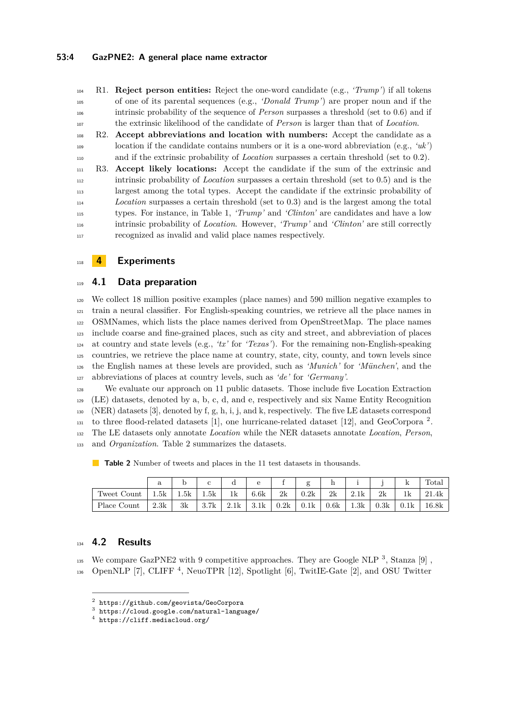R1. **Reject person entities:** Reject the one-word candidate (e.g., *'Trump'*) if all tokens of one of its parental sequences (e.g., *'Donald Trump'*) are proper noun and if the intrinsic probability of the sequence of *Person* surpasses a threshold (set to 0.6) and if the extrinsic likelihood of the candidate of *Person* is larger than that of *Location*.

 R2. **Accept abbreviations and location with numbers:** Accept the candidate as a location if the candidate contains numbers or it is a one-word abbreviation (e.g., *'uk'*) and if the extrinsic probability of *Location* surpasses a certain threshold (set to 0.2).

 R3. **Accept likely locations:** Accept the candidate if the sum of the extrinsic and intrinsic probability of *Location* surpasses a certain threshold (set to 0.5) and is the largest among the total types. Accept the candidate if the extrinsic probability of *Location* surpasses a certain threshold (set to 0.3) and is the largest among the total types. For instance, in Table [1,](#page-2-0) *'Trump'* and *'Clinton'* are candidates and have a low intrinsic probability of *Location*. However, *'Trump'* and *'Clinton'* are still correctly recognized as invalid and valid place names respectively.

**4 Experiments**

### **4.1 Data preparation**

 We collect 18 million positive examples (place names) and 590 million negative examples to train a neural classifier. For English-speaking countries, we retrieve all the place names in OSMNames, which lists the place names derived from OpenStreetMap. The place names include coarse and fine-grained places, such as city and street, and abbreviation of places at country and state levels (e.g., *'tx'* for *'Texas'*). For the remaining non-English-speaking countries, we retrieve the place name at country, state, city, county, and town levels since the English names at these levels are provided, such as *'Munich'* for *'München'*, and the abbreviations of places at country levels, such as *'de'* for *'Germany'*.

 We evaluate our approach on 11 public datasets. Those include five Location Extraction (LE) datasets, denoted by a, b, c, d, and e, respectively and six Name Entity Recognition (NER) datasets [\[3\]](#page-5-9), denoted by f, g, h, i, j, and k, respectively. The five LE datasets correspond 131 to three flood-related datasets [\[1\]](#page-5-10), one hurricane-related dataset [\[12\]](#page-5-3), and GeoCorpora<sup>[2](#page-3-0)</sup>. The LE datasets only annotate *Location* while the NER datasets annotate *Location*, *Person*, and *Organization*. Table [2](#page-3-1) summarizes the datasets.

<span id="page-3-1"></span>**Table 2** Number of tweets and places in the 11 test datasets in thousands.

|             | $\rm{a}$ |      |      |      |      |      | $\alpha$ |      |      |               | ĸ    | Total        |
|-------------|----------|------|------|------|------|------|----------|------|------|---------------|------|--------------|
| Tweet Count | 1.5k     | 1.5k | 1.5k | 1k   | 6.6k | 2k   | 0.2k     | 2k   | 2.1k | $2\mathrm{k}$ | 1k   | 21.4k<br>-01 |
| Place Count | 2.3k     | 3k   | 3.7k | 2.1k | 3.1k | 0.2k | 0.1k     | 0.6k | 1.3k | 0.3k          | 0.1k | 16.8k        |

### **4.2 Results**

<sup>1[3](#page-3-2)5</sup> We compare GazPNE2 with 9 competitive approaches. They are Google NLP  $^3$ , Stanza [\[9\]](#page-5-11),

 $_{136}$  OpenNLP [\[7\]](#page-5-2), CLIFF<sup>[4](#page-3-3)</sup>, NeuoTPR [\[12\]](#page-5-3), Spotlight [\[6\]](#page-5-12), TwitIE-Gate [\[2\]](#page-5-1), and OSU Twitter

<span id="page-3-0"></span> <https://github.com/geovista/GeoCorpora>

<span id="page-3-2"></span><https://cloud.google.com/natural-language/>

<span id="page-3-3"></span><https://cliff.mediacloud.org/>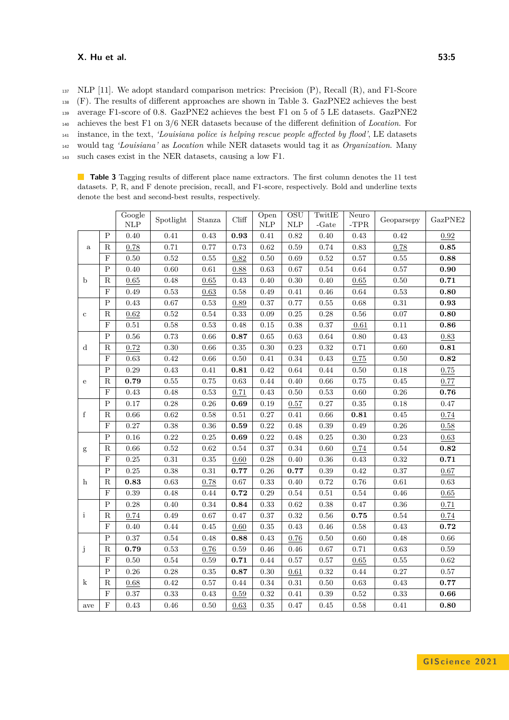#### **X. Hu et al. 53:5**

 NLP [\[11\]](#page-5-13). We adopt standard comparison metrics: Precision (P), Recall (R), and F1-Score (F). The results of different approaches are shown in Table [3.](#page-4-0) GazPNE2 achieves the best average F1-score of 0.8. GazPNE2 achieves the best F1 on 5 of 5 LE datasets. GazPNE2 achieves the best F1 on 3/6 NER datasets because of the different definition of *Location*. For instance, in the text, *'Louisiana police is helping rescue people affected by flood'*, LE datasets would tag *'Louisiana'* as *Location* while NER datasets would tag it as *Organization*. Many such cases exist in the NER datasets, causing a low F1.

<span id="page-4-0"></span>**Table 3** Tagging results of different place name extractors. The first column denotes the 11 test datasets. P, R, and F denote precision, recall, and F1-score, respectively. Bold and underline texts denote the best and second-best results, respectively.

|              |              | Google<br>$\ensuremath{\mathsf{NLP}}$ | Spotlight  | Stanza     | Cliff      | Open<br>NLP | $\overline{\mathrm{OSU}}$<br>$\ensuremath{\mathsf{NLP}}$ | TwitIE<br>-Gate | Neuro<br>$-TPR$ | Geoparsepy | GazPNE2             |
|--------------|--------------|---------------------------------------|------------|------------|------------|-------------|----------------------------------------------------------|-----------------|-----------------|------------|---------------------|
|              | $\mathbf P$  | 0.40                                  | 0.41       | 0.43       | 0.93       | $0.41\,$    | 0.82                                                     | 0.40            | 0.43            | 0.42       | $\rm 0.92$          |
| $\rm{a}$     | $\mathbf R$  | 0.78                                  | 0.71       | 0.77       | 0.73       | $\rm 0.62$  | 0.59                                                     | 0.74            | $0.83\,$        | 0.78       | 0.85                |
|              | $\mathbf{F}$ | $0.50\,$                              | $\rm 0.52$ | $0.55\,$   | $\rm 0.82$ | $0.50\,$    | 0.69                                                     | $\rm 0.52$      | $0.57\,$        | $0.55\,$   | 0.88                |
| $\mathbf b$  | P            | $0.40\,$                              | $0.60\,$   | $\rm 0.61$ | 0.88       | $\rm 0.63$  | $0.67\,$                                                 | $0.54\,$        | $\,0.64\,$      | $0.57\,$   | $\boldsymbol{0.90}$ |
|              | $\mathbf R$  | 0.65                                  | 0.48       | 0.65       | $0.43\,$   | $0.40\,$    | $0.30\,$                                                 | 0.40            | 0.65            | $0.50\,$   | 0.71                |
|              | $\mathbf F$  | 0.49                                  | 0.53       | 0.63       | 0.58       | $0.49\,$    | 0.41                                                     | 0.46            | 0.64            | 0.53       | 0.80                |
| $\mathbf c$  | $\rm P$      | 0.43                                  | $\rm 0.67$ | $\rm 0.53$ | 0.89       | $0.37\,$    | 0.77                                                     | $0.55\,$        | $\,0.68\,$      | $\rm 0.31$ | $\bf 0.93$          |
|              | $\mathbf R$  | 0.62                                  | $\rm 0.52$ | $\rm 0.54$ | $0.33\,$   | 0.09        | $0.25\,$                                                 | $0.28\,$        | $0.56\,$        | $0.07\,$   | 0.80                |
|              | $\mathbf F$  | 0.51                                  | 0.58       | 0.53       | $0.48\,$   | $0.15\,$    | 0.38                                                     | $0.37\,$        | 0.61            | 0.11       | $\bf 0.86$          |
| $\mathbf d$  | $\mathbf P$  | $0.56\,$                              | 0.73       | $0.66\,$   | 0.87       | $\rm 0.65$  | 0.63                                                     | $\,0.64\,$      | $0.80\,$        | 0.43       | $0.83\,$            |
|              | ${\bf R}$    | 0.72                                  | 0.30       | $0.66\,$   | 0.35       | $0.30\,$    | 0.23                                                     | $\rm 0.32$      | 0.71            | $0.60\,$   | $\bf 0.81$          |
|              | $\mathbf F$  | $0.63\,$                              | $0.42\,$   | $0.66\,$   | $0.50\,$   | $0.41\,$    | 0.34                                                     | $0.43\,$        | 0.75            | $0.50\,$   | $\bf 0.82$          |
| ${\bf e}$    | $\mathbf P$  | $0.29\,$                              | 0.43       | $0.41\,$   | 0.81       | 0.42        | 0.64                                                     | 0.44            | $0.50\,$        | $0.18\,$   | $0.75\,$            |
|              | $\mathbf R$  | 0.79                                  | 0.55       | $0.75\,$   | $\rm 0.63$ | 0.44        | 0.40                                                     | 0.66            | 0.75            | $0.45\,$   | 0.77                |
|              | $\mathbf F$  | $0.43\,$                              | 0.48       | $\rm 0.53$ | 0.71       | $0.43\,$    | $0.50\,$                                                 | 0.53            | $0.60\,$        | $0.26\,$   | 0.76                |
| $\mathbf f$  | $\rm P$      | $0.17\,$                              | $0.28\,$   | $0.26\,$   | 0.69       | $0.19\,$    | 0.57                                                     | $0.27\,$        | $0.35\,$        | $0.18\,$   | $0.47\,$            |
|              | $\mathbf R$  | $0.66\,$                              | 0.62       | $0.58\,$   | $0.51\,$   | $0.27\,$    | 0.41                                                     | $0.66\,$        | 0.81            | 0.45       | 0.74                |
|              | $\mathbf F$  | $0.27\,$                              | 0.38       | $0.36\,$   | $\bf 0.59$ | $\rm 0.22$  | 0.48                                                     | 0.39            | 0.49            | $0.26\,$   | 0.58                |
|              | $\rm P$      | $0.16\,$                              | $\rm 0.22$ | $0.25\,$   | 0.69       | $\rm 0.22$  | 0.48                                                     | $0.25\,$        | 0.30            | 0.23       | 0.63                |
| $\mathbf{g}$ | ${\bf R}$    | $0.66\,$                              | $\rm 0.52$ | $\rm 0.62$ | $0.54\,$   | $0.37\,$    | 0.34                                                     | $0.60\,$        | 0.74            | $0.54\,$   | $\bf 0.82$          |
|              | $\mathbf F$  | $0.25\,$                              | 0.31       | $0.35\,$   | 0.60       | 0.28        | 0.40                                                     | $0.36\,$        | 0.43            | 0.32       | 0.71                |
|              | $\mathbf P$  | $0.25\,$                              | 0.38       | $\rm 0.31$ | 0.77       | $0.26\,$    | 0.77                                                     | 0.39            | $\rm 0.42$      | $0.37\,$   | $0.67\,$            |
| $\mathbf{h}$ | ${\bf R}$    | 0.83                                  | 0.63       | 0.78       | $0.67\,$   | 0.33        | $0.40\,$                                                 | 0.72            | $0.76\,$        | $\rm 0.61$ | $\rm 0.63$          |
|              | $\mathbf F$  | 0.39                                  | 0.48       | 0.44       | $\bf 0.72$ | $\rm 0.29$  | $0.54\,$                                                 | $0.51\,$        | $0.54\,$        | $0.46\,$   | 0.65                |
|              | $\mathbf P$  | $0.28\,$                              | 0.40       | $\rm 0.34$ | 0.84       | 0.33        | $\rm 0.62$                                               | $0.38\,$        | $0.47\,$        | $0.36\,$   | 0.71                |
| $\mathbf{i}$ | ${\bf R}$    | 0.74                                  | 0.49       | $0.67\,$   | $0.47\,$   | $0.37\,$    | $\rm 0.32$                                               | $0.56\,$        | $\bf 0.75$      | $0.54\,$   | 0.74                |
|              | $\mathbf F$  | $0.40\,$                              | 0.44       | $0.45\,$   | 0.60       | $0.35\,$    | $0.43\,$                                                 | $0.46\,$        | $0.58\,$        | $0.43\,$   | $\bf 0.72$          |
|              | $\mathbf P$  | $0.37\,$                              | $\!0.54\!$ | $0.48\,$   | 0.88       | $0.43\,$    | 0.76                                                     | $0.50\,$        | $0.60\,$        | $0.48\,$   | $0.66\,$            |
| j            | $\mathbf R$  | 0.79                                  | 0.53       | $0.76\,$   | $0.59\,$   | $0.46\,$    | 0.46                                                     | $0.67\,$        | 0.71            | 0.63       | $\rm 0.59$          |
|              | $\mathbf F$  | $0.50\,$                              | $\rm 0.54$ | $0.59\,$   | 0.71       | $0.44\,$    | 0.57                                                     | $0.57\,$        | 0.65            | $0.55\,$   | $\rm 0.62$          |
| k            | $\rm P$      | $0.26\,$                              | $0.28\,$   | $0.35\,$   | 0.87       | $0.30\,$    | 0.61                                                     | $\rm 0.32$      | $0.44\,$        | $0.27\,$   | $0.57\,$            |
|              | $\mathbf R$  | 0.68                                  | 0.42       | $0.57\,$   | $0.44\,$   | $\rm 0.34$  | $0.31\,$                                                 | $0.50\,$        | $\rm 0.63$      | $0.43\,$   | $0.77\,$            |
|              | $\mathbf F$  | $0.37\,$                              | $\rm 0.33$ | $0.43\,$   | $0.59\,$   | $\rm 0.32$  | $0.41\,$                                                 | 0.39            | $\rm 0.52$      | $0.33\,$   | 0.66                |
| ave          | $\mathbf F$  | $0.43\,$                              | $0.46\,$   | $0.50\,$   | $\,0.63\,$ | $\rm 0.35$  | 0.47                                                     | 0.45            | $0.58\,$        | $0.41\,$   | $\boldsymbol{0.80}$ |